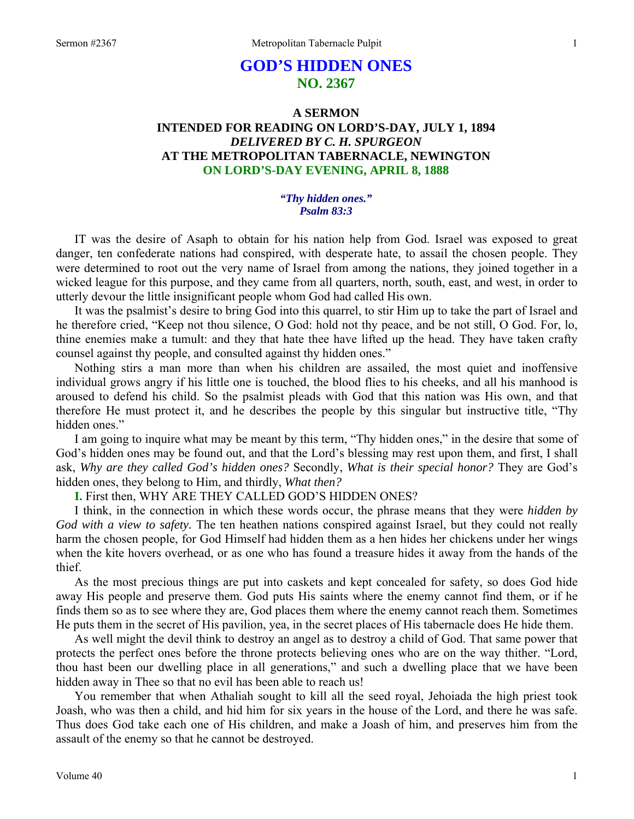# **GOD'S HIDDEN ONES NO. 2367**

## **A SERMON INTENDED FOR READING ON LORD'S-DAY, JULY 1, 1894**  *DELIVERED BY C. H. SPURGEON*  **AT THE METROPOLITAN TABERNACLE, NEWINGTON ON LORD'S-DAY EVENING, APRIL 8, 1888**

### *"Thy hidden ones." Psalm 83:3*

IT was the desire of Asaph to obtain for his nation help from God. Israel was exposed to great danger, ten confederate nations had conspired, with desperate hate, to assail the chosen people. They were determined to root out the very name of Israel from among the nations, they joined together in a wicked league for this purpose, and they came from all quarters, north, south, east, and west, in order to utterly devour the little insignificant people whom God had called His own.

It was the psalmist's desire to bring God into this quarrel, to stir Him up to take the part of Israel and he therefore cried, "Keep not thou silence, O God: hold not thy peace, and be not still, O God. For, lo, thine enemies make a tumult: and they that hate thee have lifted up the head. They have taken crafty counsel against thy people, and consulted against thy hidden ones."

Nothing stirs a man more than when his children are assailed, the most quiet and inoffensive individual grows angry if his little one is touched, the blood flies to his cheeks, and all his manhood is aroused to defend his child. So the psalmist pleads with God that this nation was His own, and that therefore He must protect it, and he describes the people by this singular but instructive title, "Thy hidden ones."

I am going to inquire what may be meant by this term, "Thy hidden ones," in the desire that some of God's hidden ones may be found out, and that the Lord's blessing may rest upon them, and first, I shall ask, *Why are they called God's hidden ones?* Secondly, *What is their special honor?* They are God's hidden ones, they belong to Him, and thirdly, *What then?* 

**I.** First then, WHY ARE THEY CALLED GOD'S HIDDEN ONES?

I think, in the connection in which these words occur, the phrase means that they were *hidden by God with a view to safety.* The ten heathen nations conspired against Israel, but they could not really harm the chosen people, for God Himself had hidden them as a hen hides her chickens under her wings when the kite hovers overhead, or as one who has found a treasure hides it away from the hands of the thief.

As the most precious things are put into caskets and kept concealed for safety, so does God hide away His people and preserve them. God puts His saints where the enemy cannot find them, or if he finds them so as to see where they are, God places them where the enemy cannot reach them. Sometimes He puts them in the secret of His pavilion, yea, in the secret places of His tabernacle does He hide them.

As well might the devil think to destroy an angel as to destroy a child of God. That same power that protects the perfect ones before the throne protects believing ones who are on the way thither. "Lord, thou hast been our dwelling place in all generations," and such a dwelling place that we have been hidden away in Thee so that no evil has been able to reach us!

You remember that when Athaliah sought to kill all the seed royal, Jehoiada the high priest took Joash, who was then a child, and hid him for six years in the house of the Lord, and there he was safe. Thus does God take each one of His children, and make a Joash of him, and preserves him from the assault of the enemy so that he cannot be destroyed.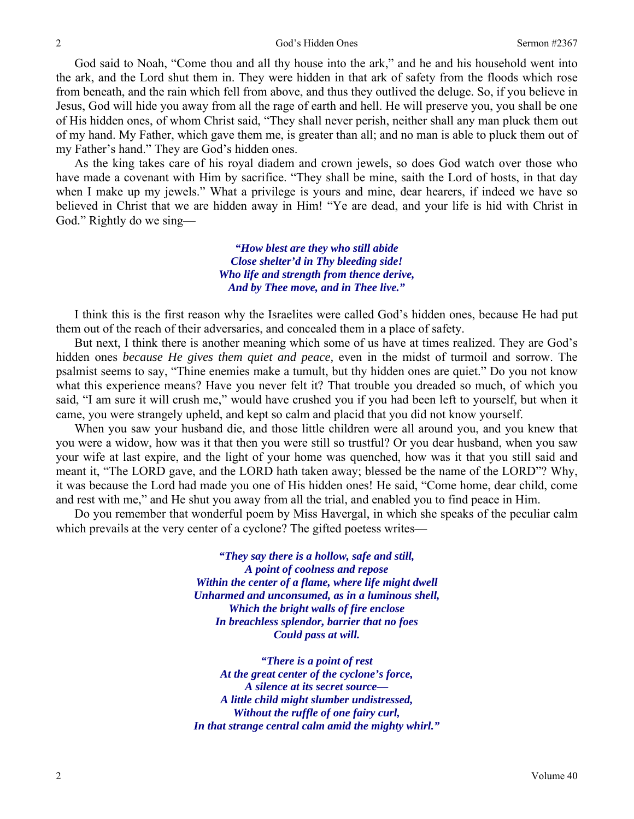God said to Noah, "Come thou and all thy house into the ark," and he and his household went into the ark, and the Lord shut them in. They were hidden in that ark of safety from the floods which rose from beneath, and the rain which fell from above, and thus they outlived the deluge. So, if you believe in Jesus, God will hide you away from all the rage of earth and hell. He will preserve you, you shall be one of His hidden ones, of whom Christ said, "They shall never perish, neither shall any man pluck them out of my hand. My Father, which gave them me, is greater than all; and no man is able to pluck them out of my Father's hand." They are God's hidden ones.

As the king takes care of his royal diadem and crown jewels, so does God watch over those who have made a covenant with Him by sacrifice. "They shall be mine, saith the Lord of hosts, in that day when I make up my jewels." What a privilege is yours and mine, dear hearers, if indeed we have so believed in Christ that we are hidden away in Him! "Ye are dead, and your life is hid with Christ in God." Rightly do we sing—

> *"How blest are they who still abide Close shelter'd in Thy bleeding side! Who life and strength from thence derive, And by Thee move, and in Thee live."*

I think this is the first reason why the Israelites were called God's hidden ones, because He had put them out of the reach of their adversaries, and concealed them in a place of safety.

But next, I think there is another meaning which some of us have at times realized. They are God's hidden ones *because He gives them quiet and peace,* even in the midst of turmoil and sorrow. The psalmist seems to say, "Thine enemies make a tumult, but thy hidden ones are quiet." Do you not know what this experience means? Have you never felt it? That trouble you dreaded so much, of which you said, "I am sure it will crush me," would have crushed you if you had been left to yourself, but when it came, you were strangely upheld, and kept so calm and placid that you did not know yourself.

When you saw your husband die, and those little children were all around you, and you knew that you were a widow, how was it that then you were still so trustful? Or you dear husband, when you saw your wife at last expire, and the light of your home was quenched, how was it that you still said and meant it, "The LORD gave, and the LORD hath taken away; blessed be the name of the LORD"? Why, it was because the Lord had made you one of His hidden ones! He said, "Come home, dear child, come and rest with me," and He shut you away from all the trial, and enabled you to find peace in Him.

Do you remember that wonderful poem by Miss Havergal, in which she speaks of the peculiar calm which prevails at the very center of a cyclone? The gifted poetess writes—

> *"They say there is a hollow, safe and still, A point of coolness and repose Within the center of a flame, where life might dwell Unharmed and unconsumed, as in a luminous shell, Which the bright walls of fire enclose In breachless splendor, barrier that no foes Could pass at will.*

> *"There is a point of rest At the great center of the cyclone's force, A silence at its secret source— A little child might slumber undistressed, Without the ruffle of one fairy curl, In that strange central calm amid the mighty whirl."*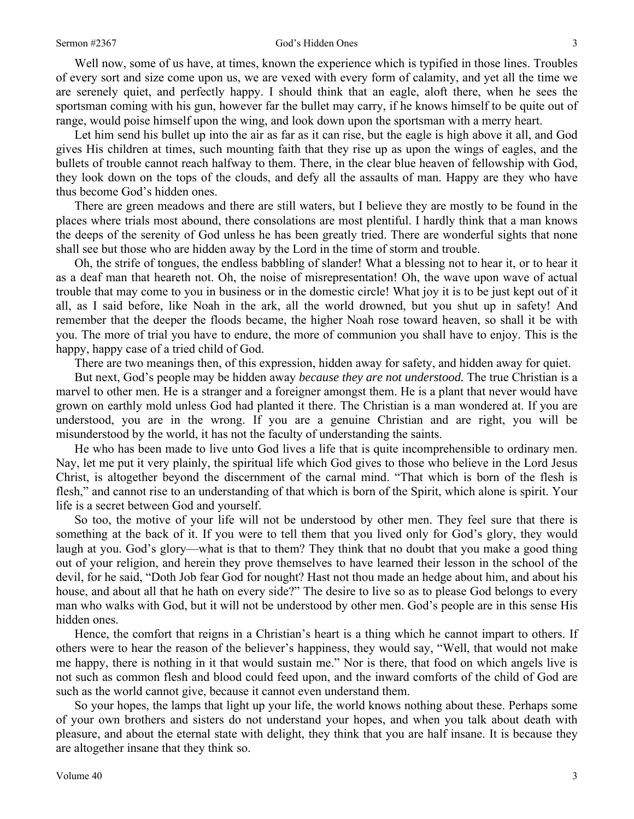Well now, some of us have, at times, known the experience which is typified in those lines. Troubles of every sort and size come upon us, we are vexed with every form of calamity, and yet all the time we are serenely quiet, and perfectly happy. I should think that an eagle, aloft there, when he sees the sportsman coming with his gun, however far the bullet may carry, if he knows himself to be quite out of range, would poise himself upon the wing, and look down upon the sportsman with a merry heart.

Let him send his bullet up into the air as far as it can rise, but the eagle is high above it all, and God gives His children at times, such mounting faith that they rise up as upon the wings of eagles, and the bullets of trouble cannot reach halfway to them. There, in the clear blue heaven of fellowship with God, they look down on the tops of the clouds, and defy all the assaults of man. Happy are they who have thus become God's hidden ones.

There are green meadows and there are still waters, but I believe they are mostly to be found in the places where trials most abound, there consolations are most plentiful. I hardly think that a man knows the deeps of the serenity of God unless he has been greatly tried. There are wonderful sights that none shall see but those who are hidden away by the Lord in the time of storm and trouble.

Oh, the strife of tongues, the endless babbling of slander! What a blessing not to hear it, or to hear it as a deaf man that heareth not. Oh, the noise of misrepresentation! Oh, the wave upon wave of actual trouble that may come to you in business or in the domestic circle! What joy it is to be just kept out of it all, as I said before, like Noah in the ark, all the world drowned, but you shut up in safety! And remember that the deeper the floods became, the higher Noah rose toward heaven, so shall it be with you. The more of trial you have to endure, the more of communion you shall have to enjoy. This is the happy, happy case of a tried child of God.

There are two meanings then, of this expression, hidden away for safety, and hidden away for quiet.

But next, God's people may be hidden away *because they are not understood.* The true Christian is a marvel to other men. He is a stranger and a foreigner amongst them. He is a plant that never would have grown on earthly mold unless God had planted it there. The Christian is a man wondered at. If you are understood, you are in the wrong. If you are a genuine Christian and are right, you will be misunderstood by the world, it has not the faculty of understanding the saints.

He who has been made to live unto God lives a life that is quite incomprehensible to ordinary men. Nay, let me put it very plainly, the spiritual life which God gives to those who believe in the Lord Jesus Christ, is altogether beyond the discernment of the carnal mind. "That which is born of the flesh is flesh," and cannot rise to an understanding of that which is born of the Spirit, which alone is spirit. Your life is a secret between God and yourself.

So too, the motive of your life will not be understood by other men. They feel sure that there is something at the back of it. If you were to tell them that you lived only for God's glory, they would laugh at you. God's glory—what is that to them? They think that no doubt that you make a good thing out of your religion, and herein they prove themselves to have learned their lesson in the school of the devil, for he said, "Doth Job fear God for nought? Hast not thou made an hedge about him, and about his house, and about all that he hath on every side?" The desire to live so as to please God belongs to every man who walks with God, but it will not be understood by other men. God's people are in this sense His hidden ones.

Hence, the comfort that reigns in a Christian's heart is a thing which he cannot impart to others. If others were to hear the reason of the believer's happiness, they would say, "Well, that would not make me happy, there is nothing in it that would sustain me." Nor is there, that food on which angels live is not such as common flesh and blood could feed upon, and the inward comforts of the child of God are such as the world cannot give, because it cannot even understand them.

So your hopes, the lamps that light up your life, the world knows nothing about these. Perhaps some of your own brothers and sisters do not understand your hopes, and when you talk about death with pleasure, and about the eternal state with delight, they think that you are half insane. It is because they are altogether insane that they think so.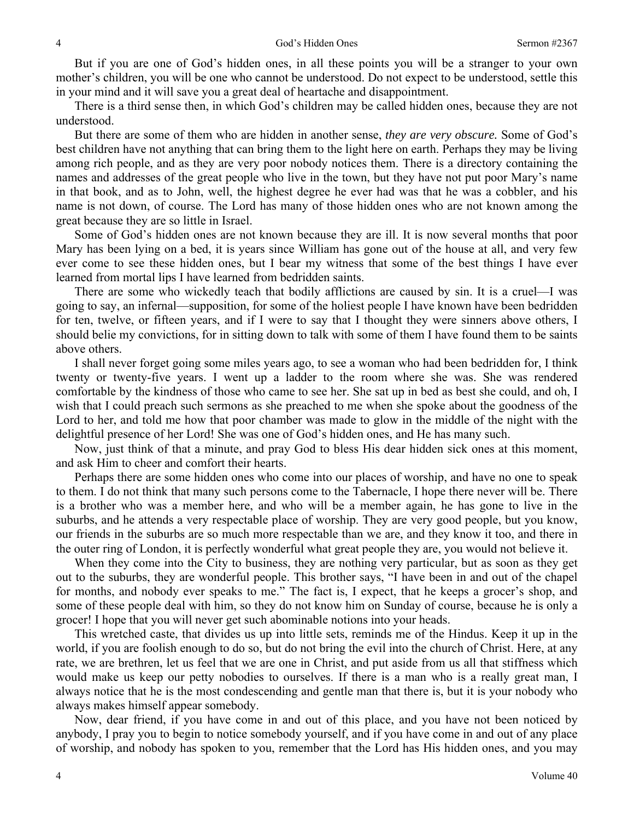But if you are one of God's hidden ones, in all these points you will be a stranger to your own mother's children, you will be one who cannot be understood. Do not expect to be understood, settle this in your mind and it will save you a great deal of heartache and disappointment.

There is a third sense then, in which God's children may be called hidden ones, because they are not understood.

But there are some of them who are hidden in another sense, *they are very obscure.* Some of God's best children have not anything that can bring them to the light here on earth. Perhaps they may be living among rich people, and as they are very poor nobody notices them. There is a directory containing the names and addresses of the great people who live in the town, but they have not put poor Mary's name in that book, and as to John, well, the highest degree he ever had was that he was a cobbler, and his name is not down, of course. The Lord has many of those hidden ones who are not known among the great because they are so little in Israel.

Some of God's hidden ones are not known because they are ill. It is now several months that poor Mary has been lying on a bed, it is years since William has gone out of the house at all, and very few ever come to see these hidden ones, but I bear my witness that some of the best things I have ever learned from mortal lips I have learned from bedridden saints.

There are some who wickedly teach that bodily afflictions are caused by sin. It is a cruel—I was going to say, an infernal—supposition, for some of the holiest people I have known have been bedridden for ten, twelve, or fifteen years, and if I were to say that I thought they were sinners above others, I should belie my convictions, for in sitting down to talk with some of them I have found them to be saints above others.

I shall never forget going some miles years ago, to see a woman who had been bedridden for, I think twenty or twenty-five years. I went up a ladder to the room where she was. She was rendered comfortable by the kindness of those who came to see her. She sat up in bed as best she could, and oh, I wish that I could preach such sermons as she preached to me when she spoke about the goodness of the Lord to her, and told me how that poor chamber was made to glow in the middle of the night with the delightful presence of her Lord! She was one of God's hidden ones, and He has many such.

Now, just think of that a minute, and pray God to bless His dear hidden sick ones at this moment, and ask Him to cheer and comfort their hearts.

Perhaps there are some hidden ones who come into our places of worship, and have no one to speak to them. I do not think that many such persons come to the Tabernacle, I hope there never will be. There is a brother who was a member here, and who will be a member again, he has gone to live in the suburbs, and he attends a very respectable place of worship. They are very good people, but you know, our friends in the suburbs are so much more respectable than we are, and they know it too, and there in the outer ring of London, it is perfectly wonderful what great people they are, you would not believe it.

When they come into the City to business, they are nothing very particular, but as soon as they get out to the suburbs, they are wonderful people. This brother says, "I have been in and out of the chapel for months, and nobody ever speaks to me." The fact is, I expect, that he keeps a grocer's shop, and some of these people deal with him, so they do not know him on Sunday of course, because he is only a grocer! I hope that you will never get such abominable notions into your heads.

This wretched caste, that divides us up into little sets, reminds me of the Hindus. Keep it up in the world, if you are foolish enough to do so, but do not bring the evil into the church of Christ. Here, at any rate, we are brethren, let us feel that we are one in Christ, and put aside from us all that stiffness which would make us keep our petty nobodies to ourselves. If there is a man who is a really great man, I always notice that he is the most condescending and gentle man that there is, but it is your nobody who always makes himself appear somebody.

Now, dear friend, if you have come in and out of this place, and you have not been noticed by anybody, I pray you to begin to notice somebody yourself, and if you have come in and out of any place of worship, and nobody has spoken to you, remember that the Lord has His hidden ones, and you may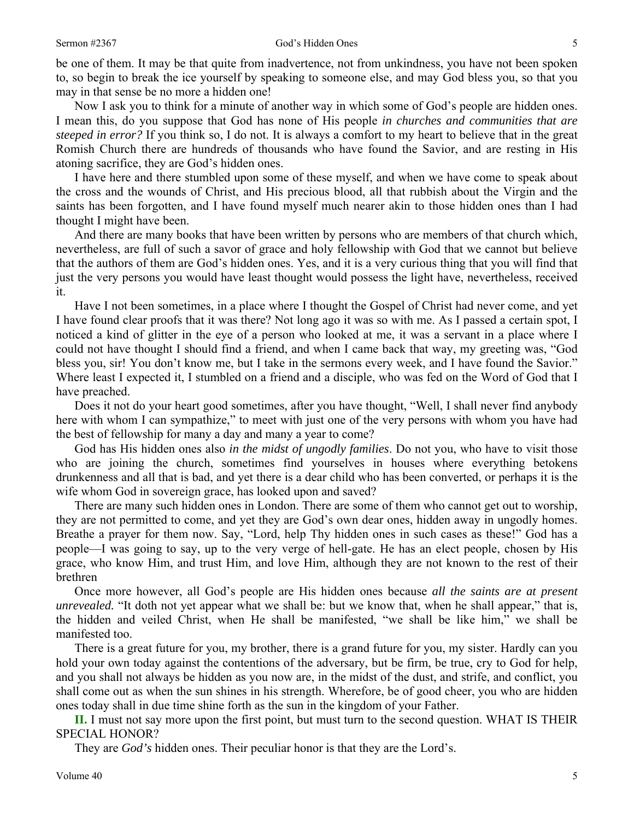be one of them. It may be that quite from inadvertence, not from unkindness, you have not been spoken to, so begin to break the ice yourself by speaking to someone else, and may God bless you, so that you may in that sense be no more a hidden one!

Now I ask you to think for a minute of another way in which some of God's people are hidden ones. I mean this, do you suppose that God has none of His people *in churches and communities that are steeped in error?* If you think so, I do not. It is always a comfort to my heart to believe that in the great Romish Church there are hundreds of thousands who have found the Savior, and are resting in His atoning sacrifice, they are God's hidden ones.

I have here and there stumbled upon some of these myself, and when we have come to speak about the cross and the wounds of Christ, and His precious blood, all that rubbish about the Virgin and the saints has been forgotten, and I have found myself much nearer akin to those hidden ones than I had thought I might have been.

And there are many books that have been written by persons who are members of that church which, nevertheless, are full of such a savor of grace and holy fellowship with God that we cannot but believe that the authors of them are God's hidden ones. Yes, and it is a very curious thing that you will find that just the very persons you would have least thought would possess the light have, nevertheless, received it.

Have I not been sometimes, in a place where I thought the Gospel of Christ had never come, and yet I have found clear proofs that it was there? Not long ago it was so with me. As I passed a certain spot, I noticed a kind of glitter in the eye of a person who looked at me, it was a servant in a place where I could not have thought I should find a friend, and when I came back that way, my greeting was, "God bless you, sir! You don't know me, but I take in the sermons every week, and I have found the Savior." Where least I expected it, I stumbled on a friend and a disciple, who was fed on the Word of God that I have preached.

Does it not do your heart good sometimes, after you have thought, "Well, I shall never find anybody here with whom I can sympathize," to meet with just one of the very persons with whom you have had the best of fellowship for many a day and many a year to come?

God has His hidden ones also *in the midst of ungodly families*. Do not you, who have to visit those who are joining the church, sometimes find yourselves in houses where everything betokens drunkenness and all that is bad, and yet there is a dear child who has been converted, or perhaps it is the wife whom God in sovereign grace, has looked upon and saved?

There are many such hidden ones in London. There are some of them who cannot get out to worship, they are not permitted to come, and yet they are God's own dear ones, hidden away in ungodly homes. Breathe a prayer for them now. Say, "Lord, help Thy hidden ones in such cases as these!" God has a people—I was going to say, up to the very verge of hell-gate. He has an elect people, chosen by His grace, who know Him, and trust Him, and love Him, although they are not known to the rest of their brethren

Once more however, all God's people are His hidden ones because *all the saints are at present unrevealed.* "It doth not yet appear what we shall be: but we know that, when he shall appear," that is, the hidden and veiled Christ, when He shall be manifested, "we shall be like him," we shall be manifested too.

There is a great future for you, my brother, there is a grand future for you, my sister. Hardly can you hold your own today against the contentions of the adversary, but be firm, be true, cry to God for help, and you shall not always be hidden as you now are, in the midst of the dust, and strife, and conflict, you shall come out as when the sun shines in his strength. Wherefore, be of good cheer, you who are hidden ones today shall in due time shine forth as the sun in the kingdom of your Father.

**II.** I must not say more upon the first point, but must turn to the second question. WHAT IS THEIR SPECIAL HONOR?

They are *God's* hidden ones. Their peculiar honor is that they are the Lord's.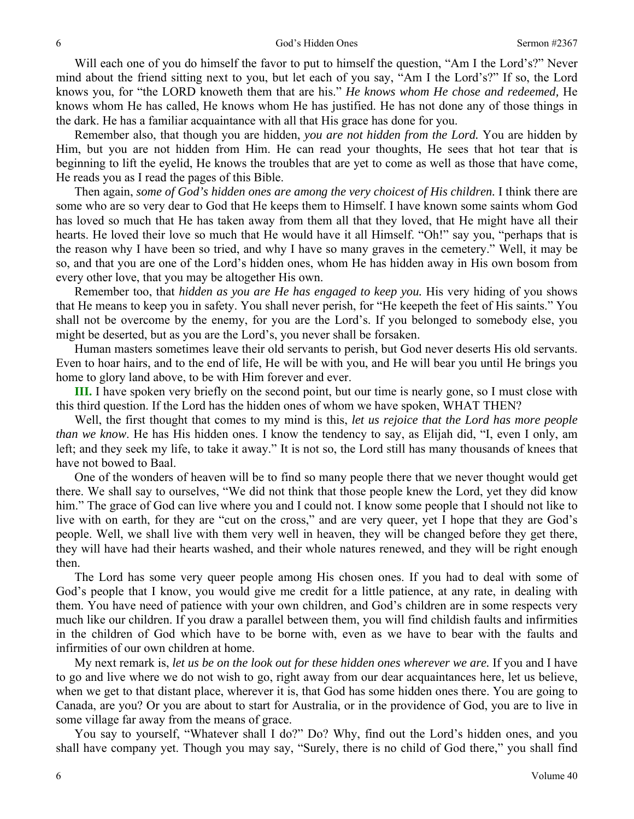Will each one of you do himself the favor to put to himself the question, "Am I the Lord's?" Never mind about the friend sitting next to you, but let each of you say, "Am I the Lord's?" If so, the Lord knows you, for "the LORD knoweth them that are his." *He knows whom He chose and redeemed,* He knows whom He has called, He knows whom He has justified. He has not done any of those things in the dark. He has a familiar acquaintance with all that His grace has done for you.

Remember also, that though you are hidden, *you are not hidden from the Lord.* You are hidden by Him, but you are not hidden from Him. He can read your thoughts, He sees that hot tear that is beginning to lift the eyelid, He knows the troubles that are yet to come as well as those that have come, He reads you as I read the pages of this Bible.

Then again, *some of God's hidden ones are among the very choicest of His children*. I think there are some who are so very dear to God that He keeps them to Himself. I have known some saints whom God has loved so much that He has taken away from them all that they loved, that He might have all their hearts. He loved their love so much that He would have it all Himself. "Oh!" say you, "perhaps that is the reason why I have been so tried, and why I have so many graves in the cemetery." Well, it may be so, and that you are one of the Lord's hidden ones, whom He has hidden away in His own bosom from every other love, that you may be altogether His own.

Remember too, that *hidden as you are He has engaged to keep you.* His very hiding of you shows that He means to keep you in safety. You shall never perish, for "He keepeth the feet of His saints." You shall not be overcome by the enemy, for you are the Lord's. If you belonged to somebody else, you might be deserted, but as you are the Lord's, you never shall be forsaken.

Human masters sometimes leave their old servants to perish, but God never deserts His old servants. Even to hoar hairs, and to the end of life, He will be with you, and He will bear you until He brings you home to glory land above, to be with Him forever and ever.

**III.** I have spoken very briefly on the second point, but our time is nearly gone, so I must close with this third question. If the Lord has the hidden ones of whom we have spoken, WHAT THEN?

Well, the first thought that comes to my mind is this, *let us rejoice that the Lord has more people than we know*. He has His hidden ones. I know the tendency to say, as Elijah did, "I, even I only, am left; and they seek my life, to take it away." It is not so, the Lord still has many thousands of knees that have not bowed to Baal.

One of the wonders of heaven will be to find so many people there that we never thought would get there. We shall say to ourselves, "We did not think that those people knew the Lord, yet they did know him." The grace of God can live where you and I could not. I know some people that I should not like to live with on earth, for they are "cut on the cross," and are very queer, yet I hope that they are God's people. Well, we shall live with them very well in heaven, they will be changed before they get there, they will have had their hearts washed, and their whole natures renewed, and they will be right enough then.

The Lord has some very queer people among His chosen ones. If you had to deal with some of God's people that I know, you would give me credit for a little patience, at any rate, in dealing with them. You have need of patience with your own children, and God's children are in some respects very much like our children. If you draw a parallel between them, you will find childish faults and infirmities in the children of God which have to be borne with, even as we have to bear with the faults and infirmities of our own children at home.

My next remark is, *let us be on the look out for these hidden ones wherever we are.* If you and I have to go and live where we do not wish to go, right away from our dear acquaintances here, let us believe, when we get to that distant place, wherever it is, that God has some hidden ones there. You are going to Canada, are you? Or you are about to start for Australia, or in the providence of God, you are to live in some village far away from the means of grace.

You say to yourself, "Whatever shall I do?" Do? Why, find out the Lord's hidden ones, and you shall have company yet. Though you may say, "Surely, there is no child of God there," you shall find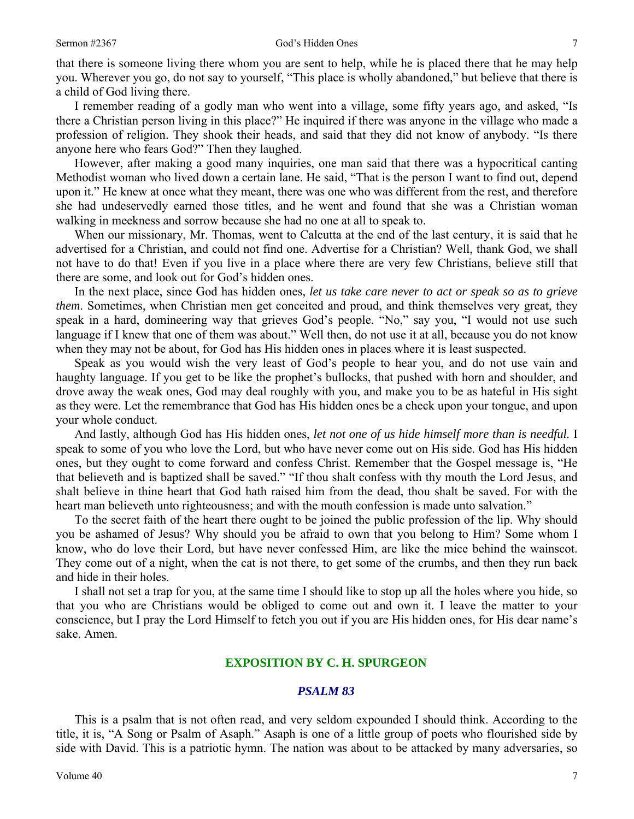that there is someone living there whom you are sent to help, while he is placed there that he may help you. Wherever you go, do not say to yourself, "This place is wholly abandoned," but believe that there is a child of God living there.

I remember reading of a godly man who went into a village, some fifty years ago, and asked, "Is there a Christian person living in this place?" He inquired if there was anyone in the village who made a profession of religion. They shook their heads, and said that they did not know of anybody. "Is there anyone here who fears God?" Then they laughed.

However, after making a good many inquiries, one man said that there was a hypocritical canting Methodist woman who lived down a certain lane. He said, "That is the person I want to find out, depend upon it." He knew at once what they meant, there was one who was different from the rest, and therefore she had undeservedly earned those titles, and he went and found that she was a Christian woman walking in meekness and sorrow because she had no one at all to speak to.

When our missionary, Mr. Thomas, went to Calcutta at the end of the last century, it is said that he advertised for a Christian, and could not find one. Advertise for a Christian? Well, thank God, we shall not have to do that! Even if you live in a place where there are very few Christians, believe still that there are some, and look out for God's hidden ones.

In the next place, since God has hidden ones, *let us take care never to act or speak so as to grieve them*. Sometimes, when Christian men get conceited and proud, and think themselves very great, they speak in a hard, domineering way that grieves God's people. "No," say you, "I would not use such language if I knew that one of them was about." Well then, do not use it at all, because you do not know when they may not be about, for God has His hidden ones in places where it is least suspected.

Speak as you would wish the very least of God's people to hear you, and do not use vain and haughty language. If you get to be like the prophet's bullocks, that pushed with horn and shoulder, and drove away the weak ones, God may deal roughly with you, and make you to be as hateful in His sight as they were. Let the remembrance that God has His hidden ones be a check upon your tongue, and upon your whole conduct.

And lastly, although God has His hidden ones, *let not one of us hide himself more than is needful.* I speak to some of you who love the Lord, but who have never come out on His side. God has His hidden ones, but they ought to come forward and confess Christ. Remember that the Gospel message is, "He that believeth and is baptized shall be saved." "If thou shalt confess with thy mouth the Lord Jesus, and shalt believe in thine heart that God hath raised him from the dead, thou shalt be saved. For with the heart man believeth unto righteousness; and with the mouth confession is made unto salvation."

To the secret faith of the heart there ought to be joined the public profession of the lip. Why should you be ashamed of Jesus? Why should you be afraid to own that you belong to Him? Some whom I know, who do love their Lord, but have never confessed Him, are like the mice behind the wainscot. They come out of a night, when the cat is not there, to get some of the crumbs, and then they run back and hide in their holes.

I shall not set a trap for you, at the same time I should like to stop up all the holes where you hide, so that you who are Christians would be obliged to come out and own it. I leave the matter to your conscience, but I pray the Lord Himself to fetch you out if you are His hidden ones, for His dear name's sake. Amen.

### **EXPOSITION BY C. H. SPURGEON**

### *PSALM 83*

This is a psalm that is not often read, and very seldom expounded I should think. According to the title, it is, "A Song or Psalm of Asaph." Asaph is one of a little group of poets who flourished side by side with David. This is a patriotic hymn. The nation was about to be attacked by many adversaries, so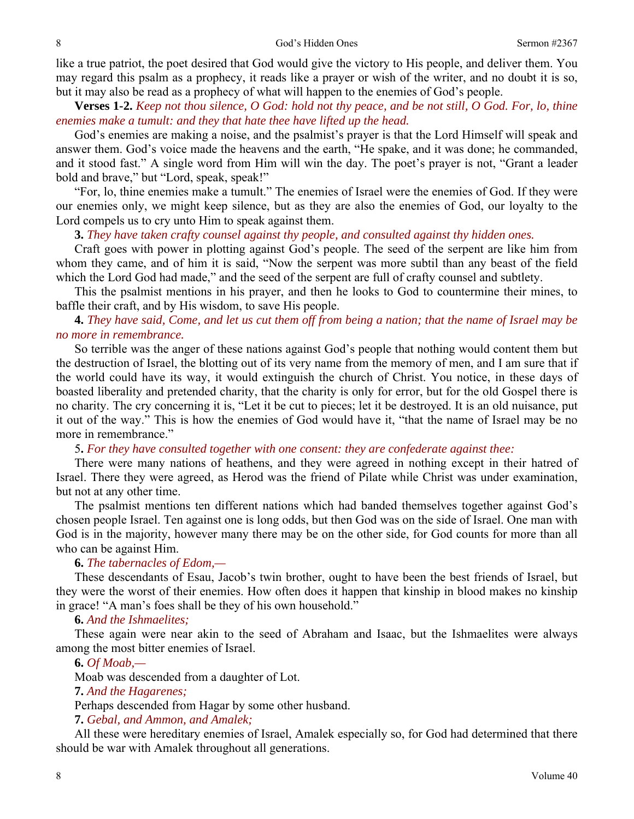like a true patriot, the poet desired that God would give the victory to His people, and deliver them. You may regard this psalm as a prophecy, it reads like a prayer or wish of the writer, and no doubt it is so, but it may also be read as a prophecy of what will happen to the enemies of God's people.

**Verses 1-2.** *Keep not thou silence, O God: hold not thy peace, and be not still, O God. For, lo, thine enemies make a tumult: and they that hate thee have lifted up the head.* 

God's enemies are making a noise, and the psalmist's prayer is that the Lord Himself will speak and answer them. God's voice made the heavens and the earth, "He spake, and it was done; he commanded, and it stood fast." A single word from Him will win the day. The poet's prayer is not, "Grant a leader bold and brave," but "Lord, speak, speak!"

"For, lo, thine enemies make a tumult." The enemies of Israel were the enemies of God. If they were our enemies only, we might keep silence, but as they are also the enemies of God, our loyalty to the Lord compels us to cry unto Him to speak against them.

**3.** *They have taken crafty counsel against thy people, and consulted against thy hidden ones.* 

Craft goes with power in plotting against God's people. The seed of the serpent are like him from whom they came, and of him it is said, "Now the serpent was more subtil than any beast of the field which the Lord God had made," and the seed of the serpent are full of crafty counsel and subtlety.

This the psalmist mentions in his prayer, and then he looks to God to countermine their mines, to baffle their craft, and by His wisdom, to save His people.

## **4.** *They have said, Come, and let us cut them off from being a nation; that the name of Israel may be no more in remembrance.*

So terrible was the anger of these nations against God's people that nothing would content them but the destruction of Israel, the blotting out of its very name from the memory of men, and I am sure that if the world could have its way, it would extinguish the church of Christ. You notice, in these days of boasted liberality and pretended charity, that the charity is only for error, but for the old Gospel there is no charity. The cry concerning it is, "Let it be cut to pieces; let it be destroyed. It is an old nuisance, put it out of the way." This is how the enemies of God would have it, "that the name of Israel may be no more in remembrance."

5**.** *For they have consulted together with one consent: they are confederate against thee:* 

There were many nations of heathens, and they were agreed in nothing except in their hatred of Israel. There they were agreed, as Herod was the friend of Pilate while Christ was under examination, but not at any other time.

The psalmist mentions ten different nations which had banded themselves together against God's chosen people Israel. Ten against one is long odds, but then God was on the side of Israel. One man with God is in the majority, however many there may be on the other side, for God counts for more than all who can be against Him.

## **6.** *The tabernacles of Edom,—*

These descendants of Esau, Jacob's twin brother, ought to have been the best friends of Israel, but they were the worst of their enemies. How often does it happen that kinship in blood makes no kinship in grace! "A man's foes shall be they of his own household."

### **6.** *And the Ishmaelites;*

These again were near akin to the seed of Abraham and Isaac, but the Ishmaelites were always among the most bitter enemies of Israel.

### **6.** *Of Moab,—*

Moab was descended from a daughter of Lot.

**7.** *And the Hagarenes;* 

Perhaps descended from Hagar by some other husband.

**7.** *Gebal, and Ammon, and Amalek;* 

All these were hereditary enemies of Israel, Amalek especially so, for God had determined that there should be war with Amalek throughout all generations.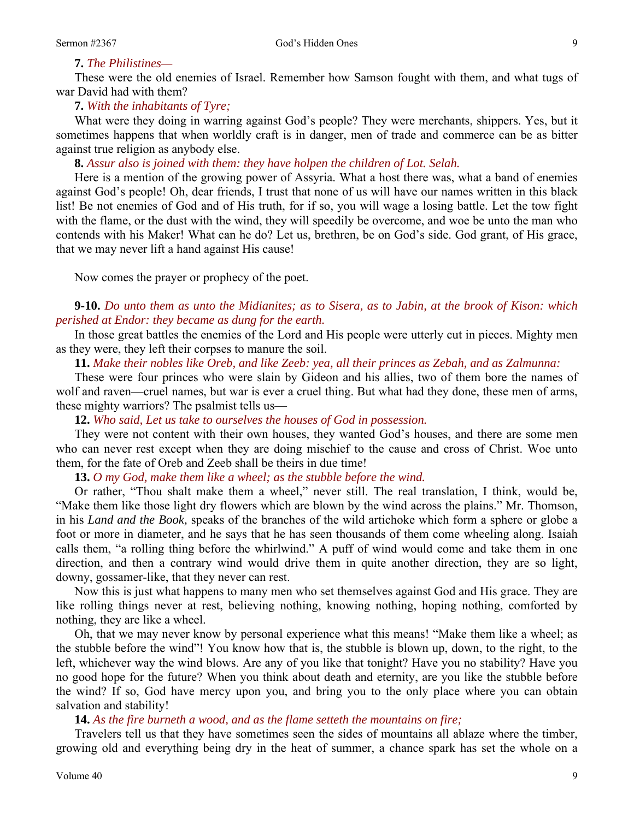## **7.** *The Philistines—*

These were the old enemies of Israel. Remember how Samson fought with them, and what tugs of war David had with them?

## **7.** *With the inhabitants of Tyre;*

What were they doing in warring against God's people? They were merchants, shippers. Yes, but it sometimes happens that when worldly craft is in danger, men of trade and commerce can be as bitter against true religion as anybody else.

**8.** *Assur also is joined with them: they have holpen the children of Lot. Selah.* 

Here is a mention of the growing power of Assyria. What a host there was, what a band of enemies against God's people! Oh, dear friends, I trust that none of us will have our names written in this black list! Be not enemies of God and of His truth, for if so, you will wage a losing battle. Let the tow fight with the flame, or the dust with the wind, they will speedily be overcome, and woe be unto the man who contends with his Maker! What can he do? Let us, brethren, be on God's side. God grant, of His grace, that we may never lift a hand against His cause!

Now comes the prayer or prophecy of the poet.

**9-10.** *Do unto them as unto the Midianites; as to Sisera, as to Jabin, at the brook of Kison: which perished at Endor: they became as dung for the earth.* 

In those great battles the enemies of the Lord and His people were utterly cut in pieces. Mighty men as they were, they left their corpses to manure the soil.

**11.** *Make their nobles like Oreb, and like Zeeb: yea, all their princes as Zebah, and as Zalmunna:* 

These were four princes who were slain by Gideon and his allies, two of them bore the names of wolf and raven—cruel names, but war is ever a cruel thing. But what had they done, these men of arms, these mighty warriors? The psalmist tells us—

**12.** *Who said, Let us take to ourselves the houses of God in possession.* 

They were not content with their own houses, they wanted God's houses, and there are some men who can never rest except when they are doing mischief to the cause and cross of Christ. Woe unto them, for the fate of Oreb and Zeeb shall be theirs in due time!

**13.** *O my God, make them like a wheel; as the stubble before the wind.* 

Or rather, "Thou shalt make them a wheel," never still. The real translation, I think, would be, "Make them like those light dry flowers which are blown by the wind across the plains." Mr. Thomson, in his *Land and the Book,* speaks of the branches of the wild artichoke which form a sphere or globe a foot or more in diameter, and he says that he has seen thousands of them come wheeling along. Isaiah calls them, "a rolling thing before the whirlwind." A puff of wind would come and take them in one direction, and then a contrary wind would drive them in quite another direction, they are so light, downy, gossamer-like, that they never can rest.

Now this is just what happens to many men who set themselves against God and His grace. They are like rolling things never at rest, believing nothing, knowing nothing, hoping nothing, comforted by nothing, they are like a wheel.

Oh, that we may never know by personal experience what this means! "Make them like a wheel; as the stubble before the wind"! You know how that is, the stubble is blown up, down, to the right, to the left, whichever way the wind blows. Are any of you like that tonight? Have you no stability? Have you no good hope for the future? When you think about death and eternity, are you like the stubble before the wind? If so, God have mercy upon you, and bring you to the only place where you can obtain salvation and stability!

**14.** *As the fire burneth a wood, and as the flame setteth the mountains on fire;* 

Travelers tell us that they have sometimes seen the sides of mountains all ablaze where the timber, growing old and everything being dry in the heat of summer, a chance spark has set the whole on a